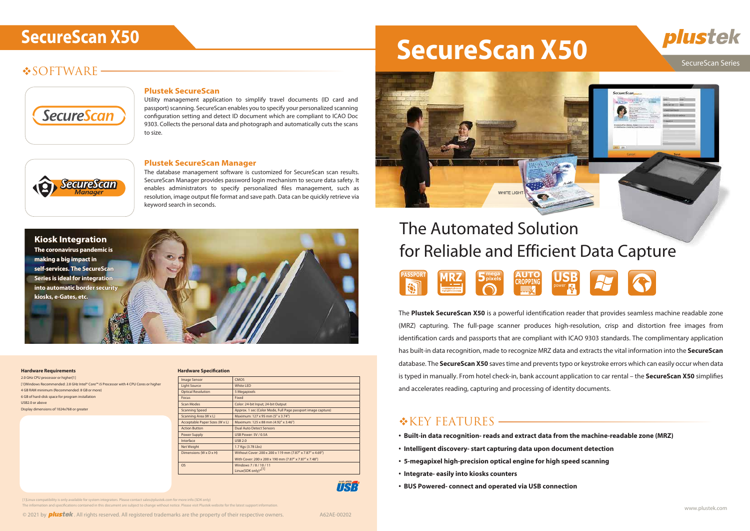## **SOFTWARE**



#### SecureScan Series

The **Plustek SecureScan X50** is a powerful identification reader that provides seamless machine readable zone (MRZ) capturing. The full-page scanner produces high-resolution, crisp and distortion free images from identification cards and passports that are compliant with ICAO 9303 standards. The complimentary application has built-in data recognition, made to recognize MRZ data and extracts the vital information into the **SecureScan** database. The **SecureScan X50** saves time and prevents typo or keystroke errors which can easily occur when data is typed in manually. From hotel check-in, bank account application to car rental – the **SecureScan X50** simplifies and accelerates reading, capturing and processing of identity documents.

## \*KEY FEATURES

- **Built-in data recognition- reads and extract data from the machine-readable zone (MRZ)**
- **Intelligent discovery- start capturing data upon document detection**
- **5-megapixel high-precision optical engine for high speed scanning**
- **Integrate- easily into kiosks counters**
- **BUS Powered- connect and operated via USB connection**

[1] Linux compatibility is only available for system integrators. Please contact sales@plustek.com for more info.(SDK only)

The information and specifications contained in this document are subject to change without notice. Please visit Plustek website for the latest support information





#### **Plustek SecureScan**

Utility management application to simplify travel documents (ID card and passport) scanning. SecureScan enables you to specify your personalized scanning configuration setting and detect ID document which are compliant to ICAO Doc 9303. Collects the personal data and photograph and automatically cuts the scans to size.



#### **Plustek SecureScan Manager**



The database management software is customized for SecureScan scan results. SecureScan Manager provides password login mechanism to secure data safety. It enables administrators to specify personalized files management, such as resolution, image output file format and save path. Data can be quickly retrieve via keyword search in seconds.



| <b>Image Sensor</b>            | <b>CMOS</b>                                                  |
|--------------------------------|--------------------------------------------------------------|
| <b>Light Source</b>            | <b>White LED</b>                                             |
| <b>Optical Resolution</b>      | 5 Megapixels                                                 |
| Focus                          | Fixed                                                        |
| Scan Modes                     | Color: 24-bit Input; 24-bit Output                           |
| <b>Scanning Speed</b>          | Approx. 1 sec (Color Mode, Full Page passport image capture) |
| Scanning Area (W x L)          | Maximum: 127 x 95 mm (5" x 3.74")                            |
| Acceptable Paper Sizes (W x L) | Maximum: 125 x 88 mm (4.92" x 3.46")                         |
| <b>Action Button</b>           | <b>Dual Auto Detect Sensors</b>                              |
| Power Supply                   | USB Power: 5V / 0.5A                                         |
| Interface                      | <b>USB 2.0</b>                                               |
| <b>Net Weight</b>              | 1.7 Kgs (3.78 Lbs)                                           |
| Dimensions (W x D x H)         | Without Cover: 200 x 200 x 119 mm (7.87" x 7.87" x 4.69")    |
|                                | With Cover: 200 x 200 x 190 mm (7.87" x 7.87" x 7.48")       |
| <b>OS</b>                      | Windows 7/8/10/11                                            |
|                                | Linux(SDK only)* <sup>[1]</sup>                              |
|                                |                                                              |

#### TS:

## SecureScan X50

#### **Hardware Specication**



# for Reliable and Efficient Data Capture

#### **Hardware Requirements**

2.0 GHz CPU processor or higher<sup>[1]</sup> [1]Windows Recommended: 2.8 GHz Intel® Core™ i5 Processor with 4 CPU Cores or higher 4 GB RAM minimum (Recommended: 8 GB or more) 6 GB of hard-disk space for program installation USB2.0 or above Display dimensions of 1024x768 or greater